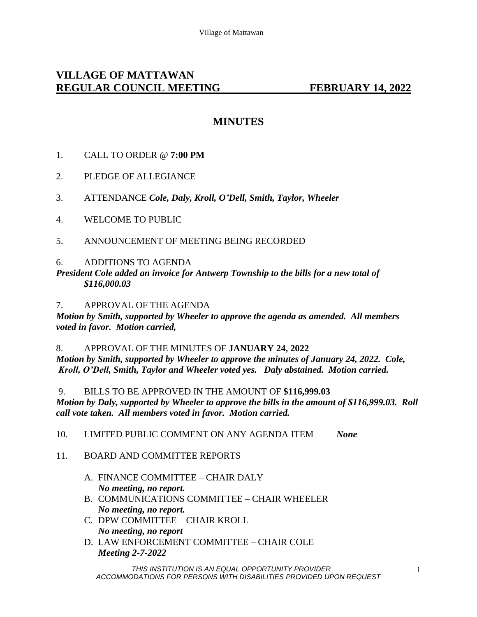# **VILLAGE OF MATTAWAN REGULAR COUNCIL MEETING FEBRUARY 14, 2022**

## **MINUTES**

- 1. CALL TO ORDER @ **7:00 PM**
- 2. PLEDGE OF ALLEGIANCE
- 3. ATTENDANCE *Cole, Daly, Kroll, O'Dell, Smith, Taylor, Wheeler*
- 4. WELCOME TO PUBLIC
- 5. ANNOUNCEMENT OF MEETING BEING RECORDED

#### 6. ADDITIONS TO AGENDA

*President Cole added an invoice for Antwerp Township to the bills for a new total of \$116,000.03*

7. APPROVAL OF THE AGENDA *Motion by Smith, supported by Wheeler to approve the agenda as amended. All members voted in favor. Motion carried,* 

#### 8. APPROVAL OF THE MINUTES OF **JANUARY 24, 2022**

*Motion by Smith, supported by Wheeler to approve the minutes of January 24, 2022. Cole, Kroll, O'Dell, Smith, Taylor and Wheeler voted yes. Daly abstained. Motion carried.* 

### 9. BILLS TO BE APPROVED IN THE AMOUNT OF **\$116,999.03**

*Motion by Daly, supported by Wheeler to approve the bills in the amount of \$116,999.03. Roll call vote taken. All members voted in favor. Motion carried.* 

10. LIMITED PUBLIC COMMENT ON ANY AGENDA ITEM *None*

### 11. BOARD AND COMMITTEE REPORTS

- A. FINANCE COMMITTEE CHAIR DALY *No meeting, no report.*
- B. COMMUNICATIONS COMMITTEE CHAIR WHEELER *No meeting, no report.*
- C. DPW COMMITTEE CHAIR KROLL *No meeting, no report*
- D. LAW ENFORCEMENT COMMITTEE CHAIR COLE *Meeting 2-7-2022*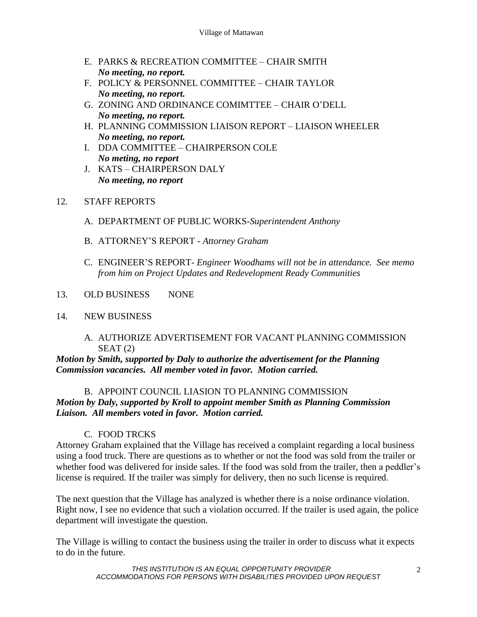- E. PARKS & RECREATION COMMITTEE CHAIR SMITH *No meeting, no report.*
- F. POLICY & PERSONNEL COMMITTEE CHAIR TAYLOR *No meeting, no report.*
- G. ZONING AND ORDINANCE COMIMTTEE CHAIR O'DELL *No meeting, no report.*
- H. PLANNING COMMISSION LIAISON REPORT LIAISON WHEELER *No meeting, no report.*
- I. DDA COMMITTEE CHAIRPERSON COLE *No meting, no report*
- J. KATS CHAIRPERSON DALY *No meeting, no report*

### 12*.* STAFF REPORTS

- A. DEPARTMENT OF PUBLIC WORKS-*Superintendent Anthony*
- B. ATTORNEY'S REPORT *Attorney Graham*
- C. ENGINEER'S REPORT- *Engineer Woodhams will not be in attendance. See memo from him on Project Updates and Redevelopment Ready Communities*
- 13. OLD BUSINESS NONE

### 14. NEW BUSINESS

#### A. AUTHORIZE ADVERTISEMENT FOR VACANT PLANNING COMMISSION  $SEAT(2)$

*Motion by Smith, supported by Daly to authorize the advertisement for the Planning Commission vacancies. All member voted in favor. Motion carried.* 

## B. APPOINT COUNCIL LIASION TO PLANNING COMMISSION

*Motion by Daly, supported by Kroll to appoint member Smith as Planning Commission Liaison. All members voted in favor. Motion carried.* 

## C. FOOD TRCKS

Attorney Graham explained that the Village has received a complaint regarding a local business using a food truck. There are questions as to whether or not the food was sold from the trailer or whether food was delivered for inside sales. If the food was sold from the trailer, then a peddler's license is required. If the trailer was simply for delivery, then no such license is required.

The next question that the Village has analyzed is whether there is a noise ordinance violation. Right now, I see no evidence that such a violation occurred. If the trailer is used again, the police department will investigate the question.

The Village is willing to contact the business using the trailer in order to discuss what it expects to do in the future.

> *THIS INSTITUTION IS AN EQUAL OPPORTUNITY PROVIDER ACCOMMODATIONS FOR PERSONS WITH DISABILITIES PROVIDED UPON REQUEST*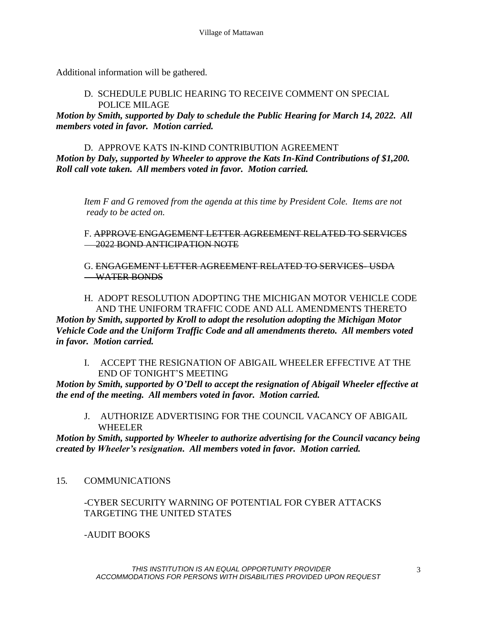Additional information will be gathered.

### D. SCHEDULE PUBLIC HEARING TO RECEIVE COMMENT ON SPECIAL POLICE MILAGE

*Motion by Smith, supported by Daly to schedule the Public Hearing for March 14, 2022. All members voted in favor. Motion carried.* 

### D. APPROVE KATS IN-KIND CONTRIBUTION AGREEMENT

*Motion by Daly, supported by Wheeler to approve the Kats In-Kind Contributions of \$1,200. Roll call vote taken. All members voted in favor. Motion carried.* 

*Item F and G removed from the agenda at this time by President Cole. Items are not ready to be acted on.* 

F. APPROVE ENGAGEMENT LETTER AGREEMENT RELATED TO SERVICES **2022 BOND ANTICIPATION NOTE** 

G. ENGAGEMENT LETTER AGREEMENT RELATED TO SERVICES- USDA WATER BONDS

### H. ADOPT RESOLUTION ADOPTING THE MICHIGAN MOTOR VEHICLE CODE AND THE UNIFORM TRAFFIC CODE AND ALL AMENDMENTS THERETO

*Motion by Smith, supported by Kroll to adopt the resolution adopting the Michigan Motor Vehicle Code and the Uniform Traffic Code and all amendments thereto. All members voted in favor. Motion carried.* 

I. ACCEPT THE RESIGNATION OF ABIGAIL WHEELER EFFECTIVE AT THE END OF TONIGHT'S MEETING

*Motion by Smith, supported by O'Dell to accept the resignation of Abigail Wheeler effective at the end of the meeting. All members voted in favor. Motion carried.* 

J. AUTHORIZE ADVERTISING FOR THE COUNCIL VACANCY OF ABIGAIL WHEELER

*Motion by Smith, supported by Wheeler to authorize advertising for the Council vacancy being created by Wheeler's resignation. All members voted in favor. Motion carried.* 

15*.* COMMUNICATIONS

### -CYBER SECURITY WARNING OF POTENTIAL FOR CYBER ATTACKS TARGETING THE UNITED STATES

-AUDIT BOOKS